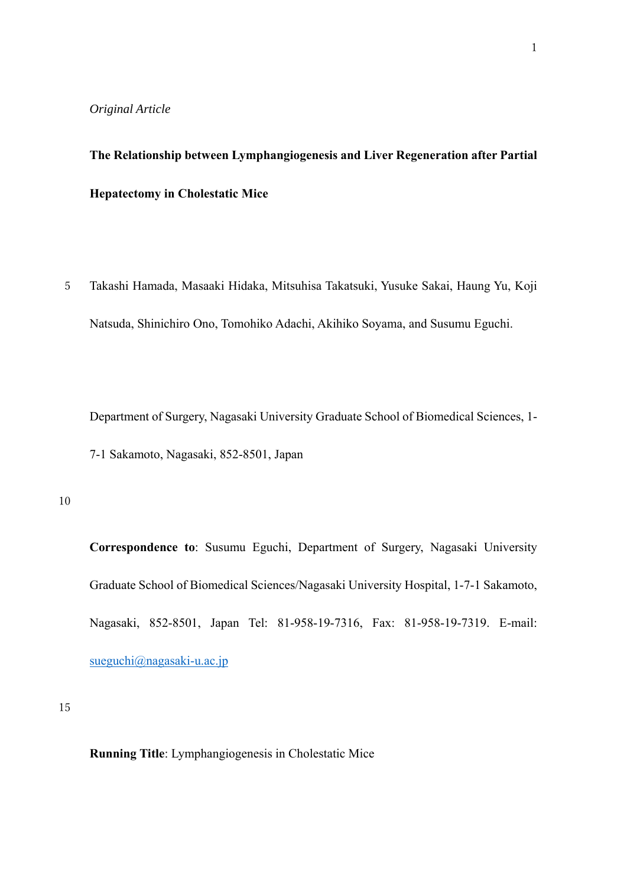#### *Original Article*

# **The Relationship between Lymphangiogenesis and Liver Regeneration after Partial Hepatectomy in Cholestatic Mice**

5 Takashi Hamada, Masaaki Hidaka, Mitsuhisa Takatsuki, Yusuke Sakai, Haung Yu, Koji Natsuda, Shinichiro Ono, Tomohiko Adachi, Akihiko Soyama, and Susumu Eguchi.

Department of Surgery, Nagasaki University Graduate School of Biomedical Sciences, 1- 7-1 Sakamoto, Nagasaki, 852-8501, Japan

10

**Correspondence to**: Susumu Eguchi, Department of Surgery, Nagasaki University Graduate School of Biomedical Sciences/Nagasaki University Hospital, 1-7-1 Sakamoto, Nagasaki, 852-8501, Japan Tel: 81-958-19-7316, Fax: 81-958-19-7319. E-mail: sueguchi@nagasaki-u.ac.jp

15

**Running Title**: Lymphangiogenesis in Cholestatic Mice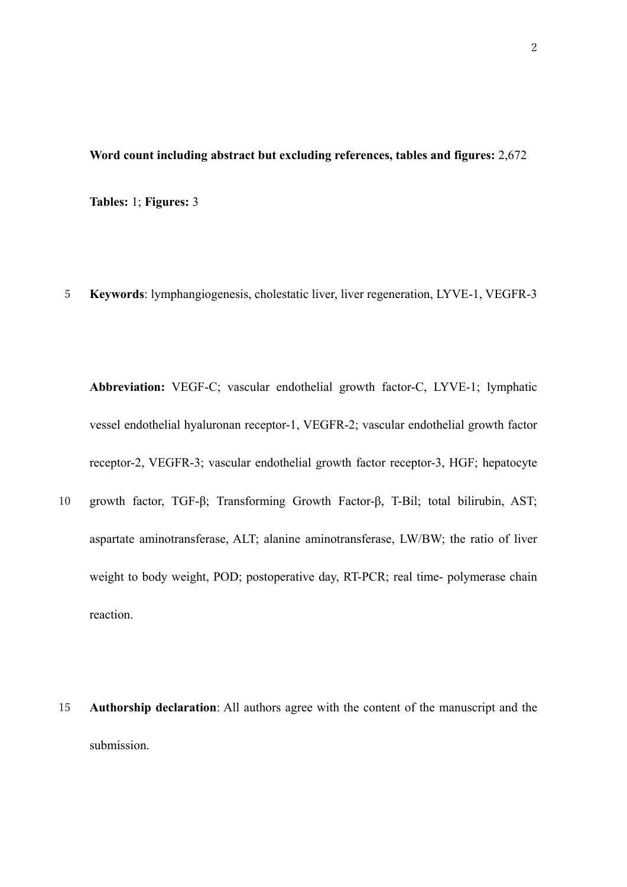# **Word count including abstract but excluding references, tables and figures:** 2,672

**Tables:** 1; **Figures:** 3

5 **Keywords**: lymphangiogenesis, cholestatic liver, liver regeneration, LYVE-1, VEGFR-3

**Abbreviation:** VEGF-C; vascular endothelial growth factor-C, LYVE-1; lymphatic vessel endothelial hyaluronan receptor-1, VEGFR-2; vascular endothelial growth factor receptor-2, VEGFR-3; vascular endothelial growth factor receptor-3, HGF; hepatocyte

- 10 growth factor, TGF-β; Transforming Growth Factor-β, T-Bil; total bilirubin, AST; aspartate aminotransferase, ALT; alanine aminotransferase, LW/BW; the ratio of liver weight to body weight, POD; postoperative day, RT-PCR; real time- polymerase chain reaction.
- 15 **Authorship declaration**: All authors agree with the content of the manuscript and the submission.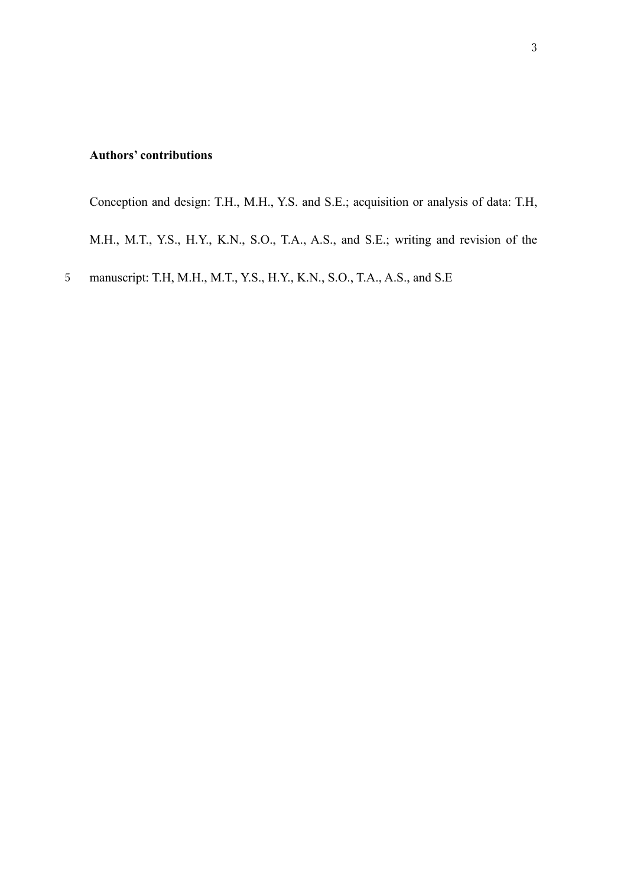# **Authors' contributions**

Conception and design: T.H., M.H., Y.S. and S.E.; acquisition or analysis of data: T.H, M.H., M.T., Y.S., H.Y., K.N., S.O., T.A., A.S., and S.E.; writing and revision of the

5 manuscript: T.H, M.H., M.T., Y.S., H.Y., K.N., S.O., T.A., A.S., and S.E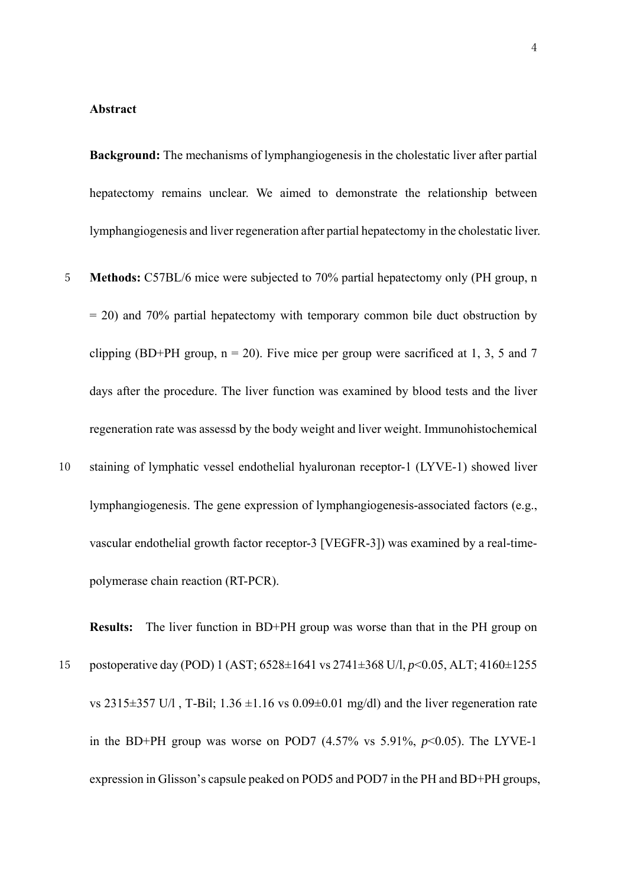#### **Abstract**

**Background:** The mechanisms of lymphangiogenesis in the cholestatic liver after partial hepatectomy remains unclear. We aimed to demonstrate the relationship between lymphangiogenesis and liver regeneration after partial hepatectomy in the cholestatic liver.

- 5 **Methods:** C57BL/6 mice were subjected to 70% partial hepatectomy only (PH group, n = 20) and 70% partial hepatectomy with temporary common bile duct obstruction by clipping (BD+PH group,  $n = 20$ ). Five mice per group were sacrificed at 1, 3, 5 and 7 days after the procedure. The liver function was examined by blood tests and the liver regeneration rate was assessd by the body weight and liver weight. Immunohistochemical
- 10 staining of lymphatic vessel endothelial hyaluronan receptor-1 (LYVE-1) showed liver lymphangiogenesis. The gene expression of lymphangiogenesis-associated factors (e.g., vascular endothelial growth factor receptor-3 [VEGFR-3]) was examined by a real-timepolymerase chain reaction (RT-PCR).

**Results:** The liver function in BD+PH group was worse than that in the PH group on 15 postoperative day (POD) 1 (AST; 6528±1641 vs 2741±368 U/l, *p*<0.05, ALT; 4160±1255 vs 2315 $\pm$ 357 U/l, T-Bil; 1.36  $\pm$ 1.16 vs 0.09 $\pm$ 0.01 mg/dl) and the liver regeneration rate in the BD+PH group was worse on POD7  $(4.57\% \text{ vs } 5.91\%, p<0.05)$ . The LYVE-1 expression in Glisson's capsule peaked on POD5 and POD7 in the PH and BD+PH groups,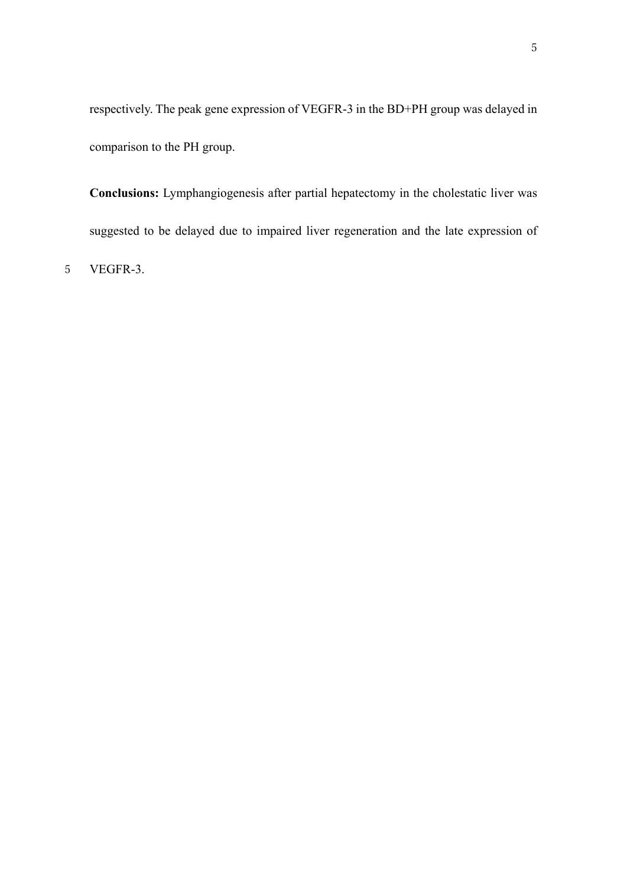respectively. The peak gene expression of VEGFR-3 in the BD+PH group was delayed in comparison to the PH group.

**Conclusions:** Lymphangiogenesis after partial hepatectomy in the cholestatic liver was suggested to be delayed due to impaired liver regeneration and the late expression of

5 VEGFR-3.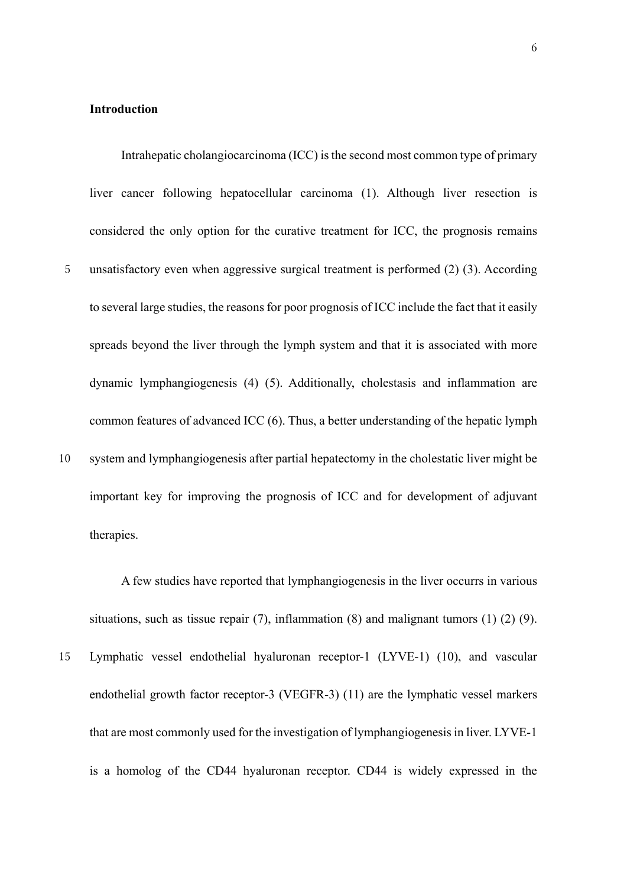#### **Introduction**

Intrahepatic cholangiocarcinoma (ICC) is the second most common type of primary liver cancer following hepatocellular carcinoma (1). Although liver resection is considered the only option for the curative treatment for ICC, the prognosis remains 5 unsatisfactory even when aggressive surgical treatment is performed (2) (3). According to several large studies, the reasons for poor prognosis of ICC include the fact that it easily spreads beyond the liver through the lymph system and that it is associated with more dynamic lymphangiogenesis (4) (5). Additionally, cholestasis and inflammation are common features of advanced ICC (6). Thus, a better understanding of the hepatic lymph 10 system and lymphangiogenesis after partial hepatectomy in the cholestatic liver might be important key for improving the prognosis of ICC and for development of adjuvant therapies.

A few studies have reported that lymphangiogenesis in the liver occurrs in various situations, such as tissue repair  $(7)$ , inflammation  $(8)$  and malignant tumors  $(1)$   $(2)$   $(9)$ .

15 Lymphatic vessel endothelial hyaluronan receptor-1 (LYVE-1) (10), and vascular endothelial growth factor receptor-3 (VEGFR-3) (11) are the lymphatic vessel markers that are most commonly used for the investigation of lymphangiogenesis in liver. LYVE‑1 is a homolog of the CD44 hyaluronan receptor. CD44 is widely expressed in the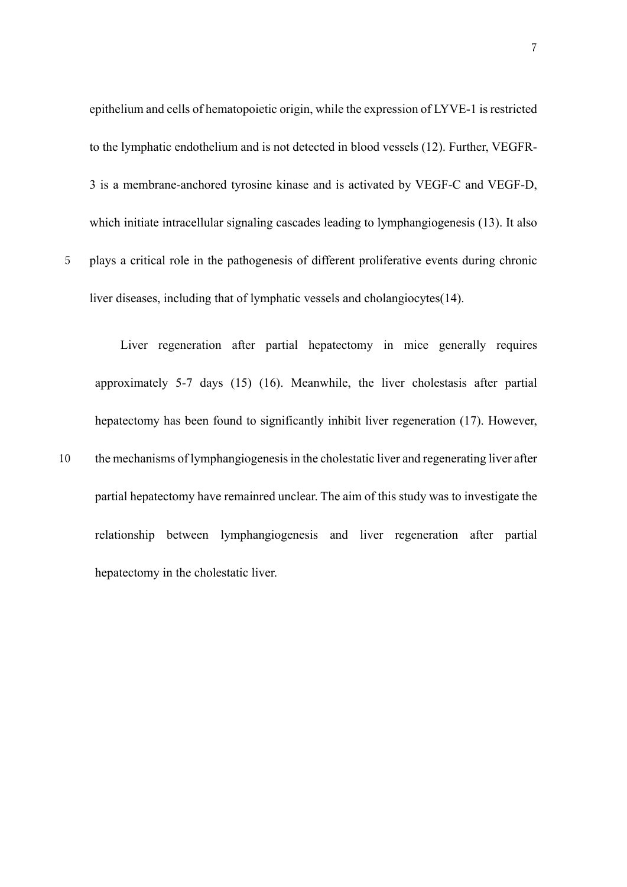epithelium and cells of hematopoietic origin, while the expression of LYVE-1 is restricted to the lymphatic endothelium and is not detected in blood vessels (12). Further, VEGFR-3 is a membrane-anchored tyrosine kinase and is activated by VEGF-C and VEGF-D, which initiate intracellular signaling cascades leading to lymphangiogenesis (13). It also 5 plays a critical role in the pathogenesis of different proliferative events during chronic

liver diseases, including that of lymphatic vessels and cholangiocytes(14).

7

Liver regeneration after partial hepatectomy in mice generally requires approximately 5-7 days (15) (16). Meanwhile, the liver cholestasis after partial hepatectomy has been found to significantly inhibit liver regeneration (17). However, 10 the mechanisms of lymphangiogenesis in the cholestatic liver and regenerating liver after partial hepatectomy have remainred unclear. The aim of this study was to investigate the relationship between lymphangiogenesis and liver regeneration after partial hepatectomy in the cholestatic liver.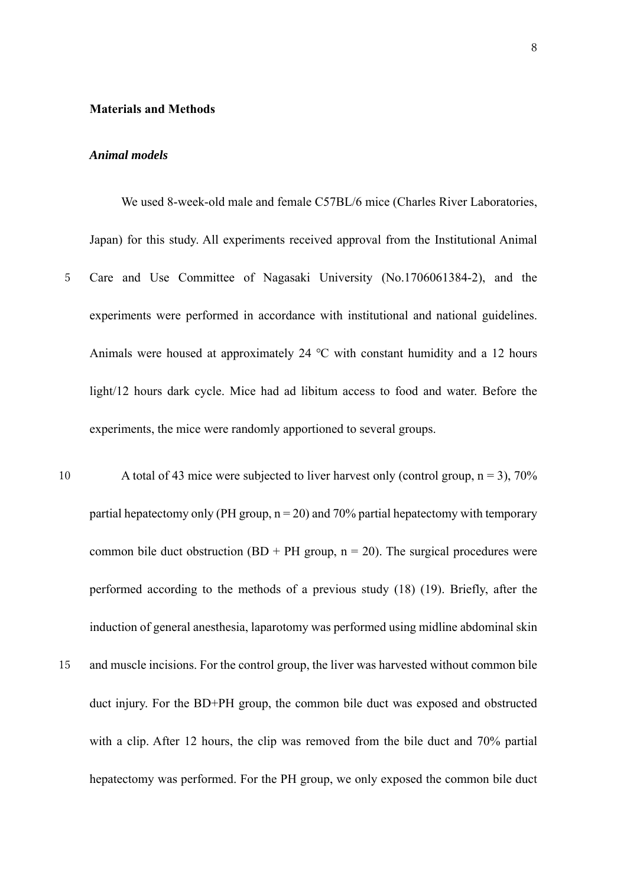#### **Materials and Methods**

# *Animal models*

We used 8-week-old male and female C57BL/6 mice (Charles River Laboratories, Japan) for this study. All experiments received approval from the Institutional Animal

- 5 Care and Use Committee of Nagasaki University (No.1706061384-2), and the experiments were performed in accordance with institutional and national guidelines. Animals were housed at approximately 24 ℃ with constant humidity and a 12 hours light/12 hours dark cycle. Mice had ad libitum access to food and water. Before the experiments, the mice were randomly apportioned to several groups.
- 10 A total of 43 mice were subjected to liver harvest only (control group,  $n = 3$ ), 70% partial hepatectomy only (PH group,  $n = 20$ ) and 70% partial hepatectomy with temporary common bile duct obstruction (BD + PH group,  $n = 20$ ). The surgical procedures were performed according to the methods of a previous study (18) (19). Briefly, after the induction of general anesthesia, laparotomy was performed using midline abdominal skin 15 and muscle incisions. For the control group, the liver was harvested without common bile duct injury. For the BD+PH group, the common bile duct was exposed and obstructed with a clip. After 12 hours, the clip was removed from the bile duct and 70% partial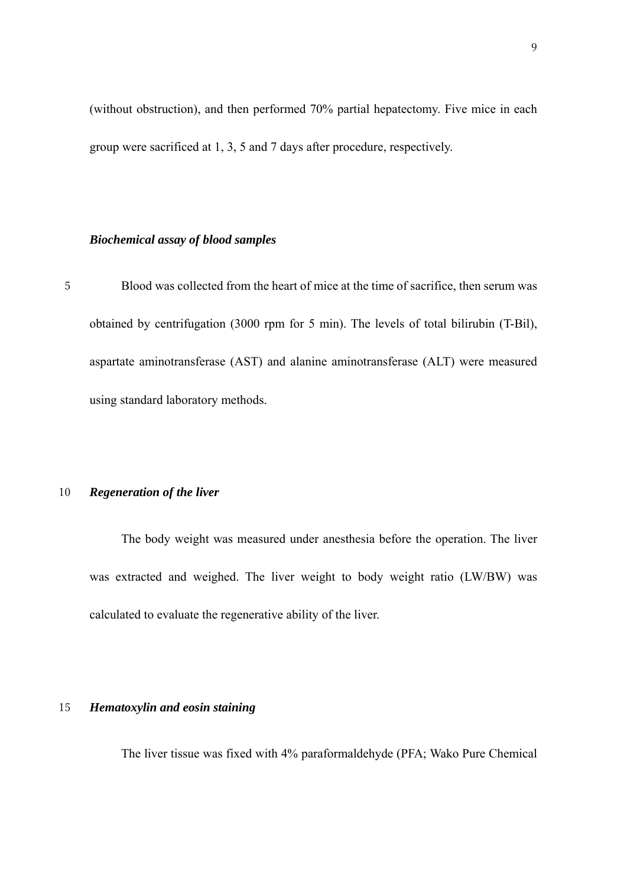(without obstruction), and then performed 70% partial hepatectomy. Five mice in each group were sacrificed at 1, 3, 5 and 7 days after procedure, respectively.

# *Biochemical assay of blood samples*

5 Blood was collected from the heart of mice at the time of sacrifice, then serum was obtained by centrifugation (3000 rpm for 5 min). The levels of total bilirubin (T-Bil), aspartate aminotransferase (AST) and alanine aminotransferase (ALT) were measured using standard laboratory methods.

# 10 *Regeneration of the liver*

The body weight was measured under anesthesia before the operation. The liver was extracted and weighed. The liver weight to body weight ratio (LW/BW) was calculated to evaluate the regenerative ability of the liver.

#### 15 *Hematoxylin and eosin staining*

The liver tissue was fixed with 4% paraformaldehyde (PFA; Wako Pure Chemical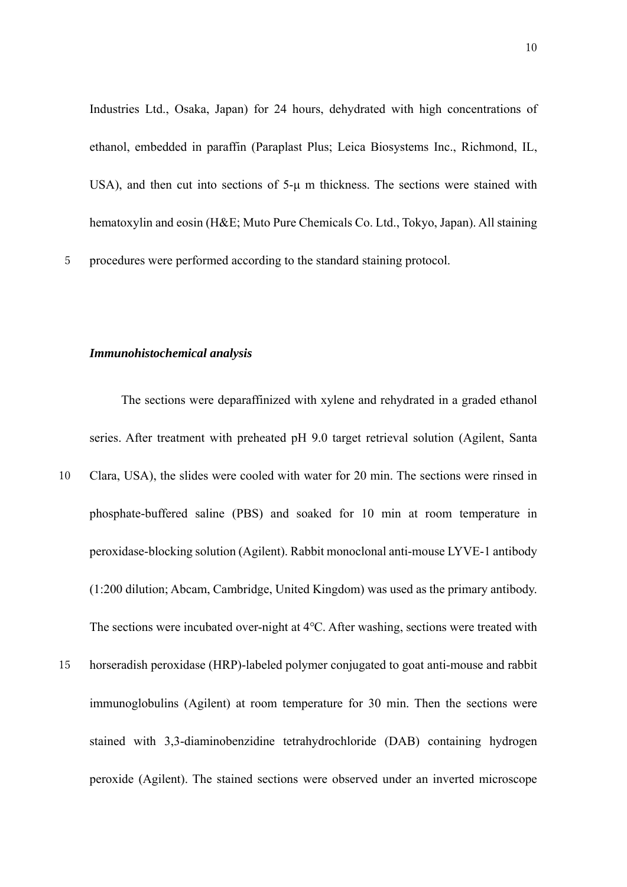Industries Ltd., Osaka, Japan) for 24 hours, dehydrated with high concentrations of ethanol, embedded in paraffin (Paraplast Plus; Leica Biosystems Inc., Richmond, IL, USA), and then cut into sections of 5-μ m thickness. The sections were stained with hematoxylin and eosin (H&E; Muto Pure Chemicals Co. Ltd., Tokyo, Japan). All staining 5 procedures were performed according to the standard staining protocol.

#### *Immunohistochemical analysis*

The sections were deparaffinized with xylene and rehydrated in a graded ethanol series. After treatment with preheated pH 9.0 target retrieval solution (Agilent, Santa

- 10 Clara, USA), the slides were cooled with water for 20 min. The sections were rinsed in phosphate-buffered saline (PBS) and soaked for 10 min at room temperature in peroxidase-blocking solution (Agilent). Rabbit monoclonal anti-mouse LYVE-1 antibody (1:200 dilution; Abcam, Cambridge, United Kingdom) was used as the primary antibody. The sections were incubated over-night at 4℃. After washing, sections were treated with
- 15 horseradish peroxidase (HRP)-labeled polymer conjugated to goat anti-mouse and rabbit immunoglobulins (Agilent) at room temperature for 30 min. Then the sections were stained with 3,3-diaminobenzidine tetrahydrochloride (DAB) containing hydrogen peroxide (Agilent). The stained sections were observed under an inverted microscope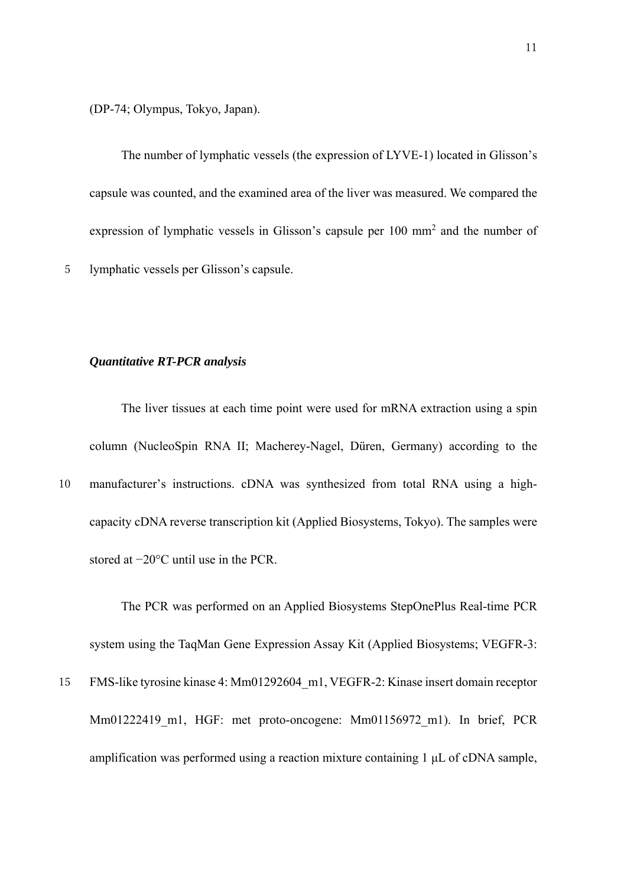(DP-74; Olympus, Tokyo, Japan).

The number of lymphatic vessels (the expression of LYVE-1) located in Glisson's capsule was counted, and the examined area of the liver was measured. We compared the expression of lymphatic vessels in Glisson's capsule per 100 mm<sup>2</sup> and the number of 5 lymphatic vessels per Glisson's capsule.

#### *Quantitative RT-PCR analysis*

The liver tissues at each time point were used for mRNA extraction using a spin column (NucleoSpin RNA II; Macherey-Nagel, Düren, Germany) according to the

10 manufacturer's instructions. cDNA was synthesized from total RNA using a highcapacity cDNA reverse transcription kit (Applied Biosystems, Tokyo). The samples were stored at −20°C until use in the PCR.

The PCR was performed on an Applied Biosystems StepOnePlus Real-time PCR system using the TaqMan Gene Expression Assay Kit (Applied Biosystems; VEGFR-3: 15 FMS-like tyrosine kinase 4: Mm01292604\_m1, VEGFR-2: Kinase insert domain receptor Mm01222419 m1, HGF: met proto-oncogene: Mm01156972 m1). In brief, PCR amplification was performed using a reaction mixture containing 1 μL of cDNA sample,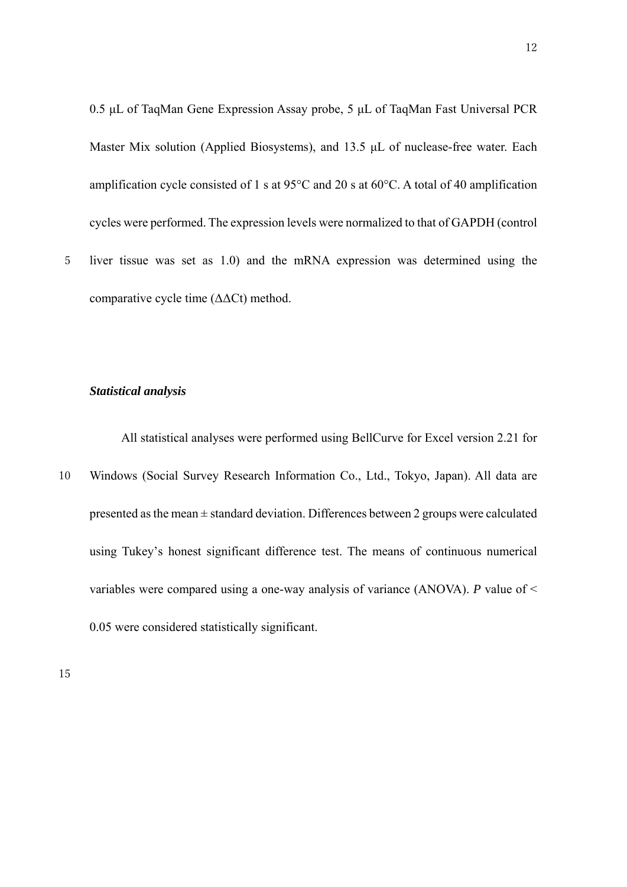0.5 μL of TaqMan Gene Expression Assay probe, 5 μL of TaqMan Fast Universal PCR Master Mix solution (Applied Biosystems), and 13.5 μL of nuclease-free water. Each amplification cycle consisted of 1 s at 95 $^{\circ}$ C and 20 s at 60 $^{\circ}$ C. A total of 40 amplification cycles were performed. The expression levels were normalized to that of GAPDH (control

5 liver tissue was set as 1.0) and the mRNA expression was determined using the comparative cycle time (ΔΔCt) method.

# *Statistical analysis*

All statistical analyses were performed using BellCurve for Excel version 2.21 for

10 Windows (Social Survey Research Information Co., Ltd., Tokyo, Japan). All data are presented as the mean  $\pm$  standard deviation. Differences between 2 groups were calculated using Tukey's honest significant difference test. The means of continuous numerical variables were compared using a one-way analysis of variance (ANOVA). *P* value of < 0.05 were considered statistically significant.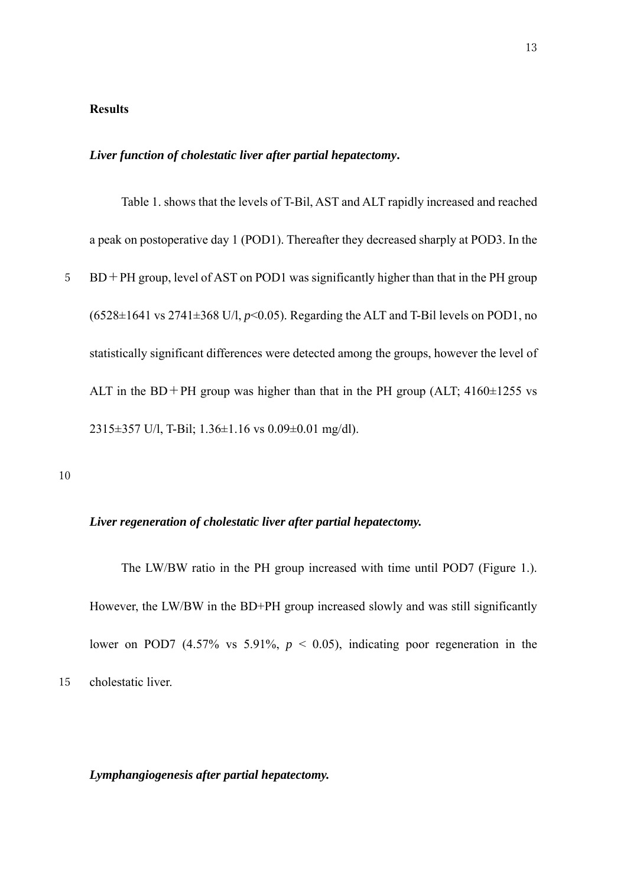# **Results**

#### *Liver function of cholestatic liver after partial hepatectomy***.**

Table 1. shows that the levels of T-Bil, AST and ALT rapidly increased and reached a peak on postoperative day 1 (POD1). Thereafter they decreased sharply at POD3. In the 5 BD+PH group, level of AST on POD1 was significantly higher than that in the PH group  $(6528 \pm 1641 \text{ vs } 2741 \pm 368 \text{ U/l}, p<0.05)$ . Regarding the ALT and T-Bil levels on POD1, no statistically significant differences were detected among the groups, however the level of ALT in the BD+PH group was higher than that in the PH group (ALT;  $4160\pm1255$  vs 2315±357 U/l, T-Bil; 1.36±1.16 vs 0.09±0.01 mg/dl).

10

#### *Liver regeneration of cholestatic liver after partial hepatectomy.*

The LW/BW ratio in the PH group increased with time until POD7 (Figure 1.). However, the LW/BW in the BD+PH group increased slowly and was still significantly lower on POD7  $(4.57\% \text{ vs } 5.91\%, p < 0.05)$ , indicating poor regeneration in the 15 cholestatic liver.

*Lymphangiogenesis after partial hepatectomy.*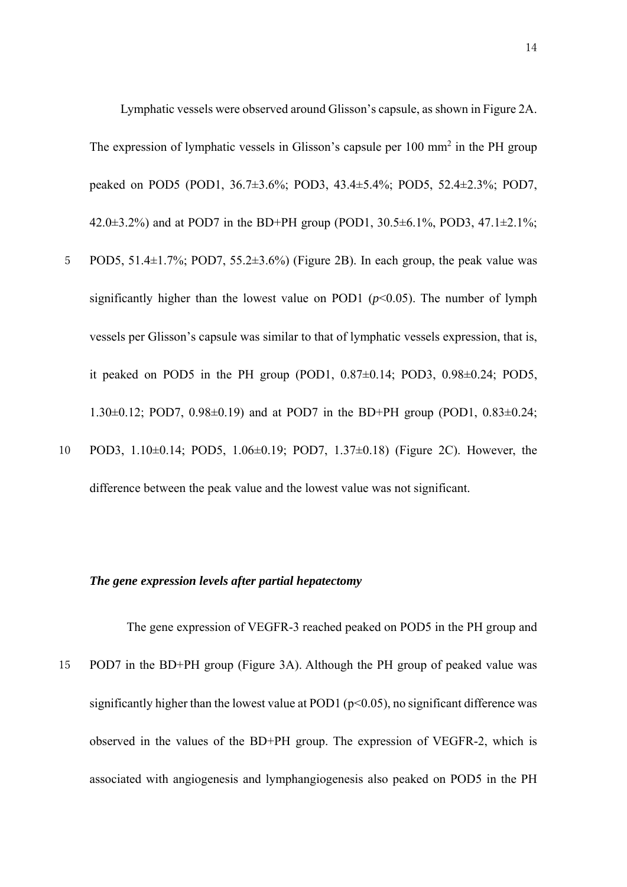Lymphatic vessels were observed around Glisson's capsule, as shown in Figure 2A. The expression of lymphatic vessels in Glisson's capsule per  $100 \text{ mm}^2$  in the PH group peaked on POD5 (POD1, 36.7±3.6%; POD3, 43.4±5.4%; POD5, 52.4±2.3%; POD7, 42.0 $\pm$ 3.2%) and at POD7 in the BD+PH group (POD1, 30.5 $\pm$ 6.1%, POD3, 47.1 $\pm$ 2.1%;

- 5 POD5, 51.4 $\pm$ 1.7%; POD7, 55.2 $\pm$ 3.6%) (Figure 2B). In each group, the peak value was significantly higher than the lowest value on POD1  $(p<0.05)$ . The number of lymph vessels per Glisson's capsule was similar to that of lymphatic vessels expression, that is, it peaked on POD5 in the PH group (POD1,  $0.87\pm0.14$ ; POD3,  $0.98\pm0.24$ ; POD5, 1.30 $\pm$ 0.12; POD7, 0.98 $\pm$ 0.19) and at POD7 in the BD+PH group (POD1, 0.83 $\pm$ 0.24;
- 10 POD3, 1.10±0.14; POD5, 1.06±0.19; POD7, 1.37±0.18) (Figure 2C). However, the difference between the peak value and the lowest value was not significant.

#### *The gene expression levels after partial hepatectomy*

The gene expression of VEGFR-3 reached peaked on POD5 in the PH group and 15 POD7 in the BD+PH group (Figure 3A). Although the PH group of peaked value was significantly higher than the lowest value at POD1 ( $p<0.05$ ), no significant difference was observed in the values of the BD+PH group. The expression of VEGFR-2, which is associated with angiogenesis and lymphangiogenesis also peaked on POD5 in the PH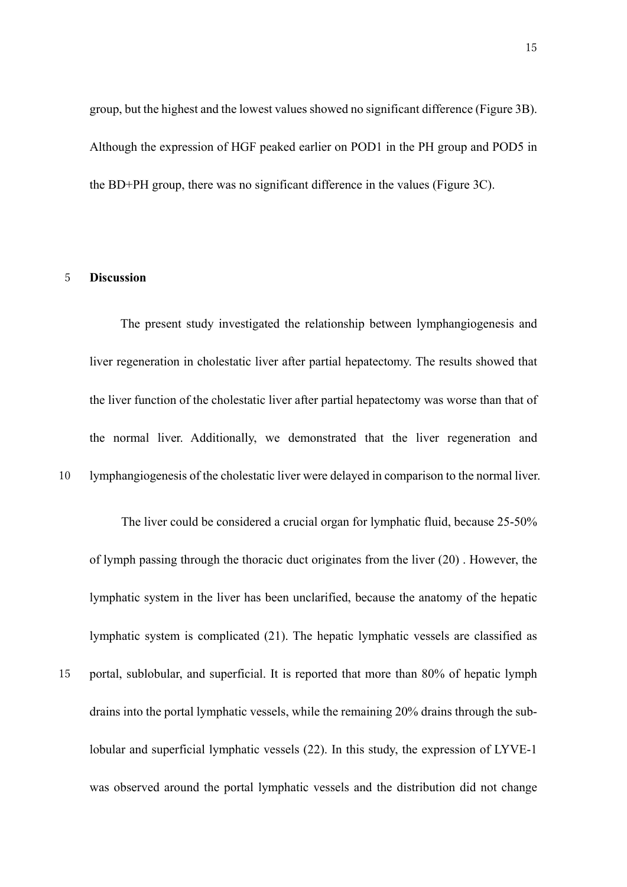group, but the highest and the lowest values showed no significant difference (Figure 3B). Although the expression of HGF peaked earlier on POD1 in the PH group and POD5 in the BD+PH group, there was no significant difference in the values (Figure 3C).

#### 5 **Discussion**

The present study investigated the relationship between lymphangiogenesis and liver regeneration in cholestatic liver after partial hepatectomy. The results showed that the liver function of the cholestatic liver after partial hepatectomy was worse than that of the normal liver. Additionally, we demonstrated that the liver regeneration and 10 lymphangiogenesis of the cholestatic liver were delayed in comparison to the normal liver.

The liver could be considered a crucial organ for lymphatic fluid, because 25-50% of lymph passing through the thoracic duct originates from the liver (20) . However, the lymphatic system in the liver has been unclarified, because the anatomy of the hepatic lymphatic system is complicated (21). The hepatic lymphatic vessels are classified as 15 portal, sublobular, and superficial. It is reported that more than 80% of hepatic lymph drains into the portal lymphatic vessels, while the remaining 20% drains through the sublobular and superficial lymphatic vessels (22). In this study, the expression of LYVE-1 was observed around the portal lymphatic vessels and the distribution did not change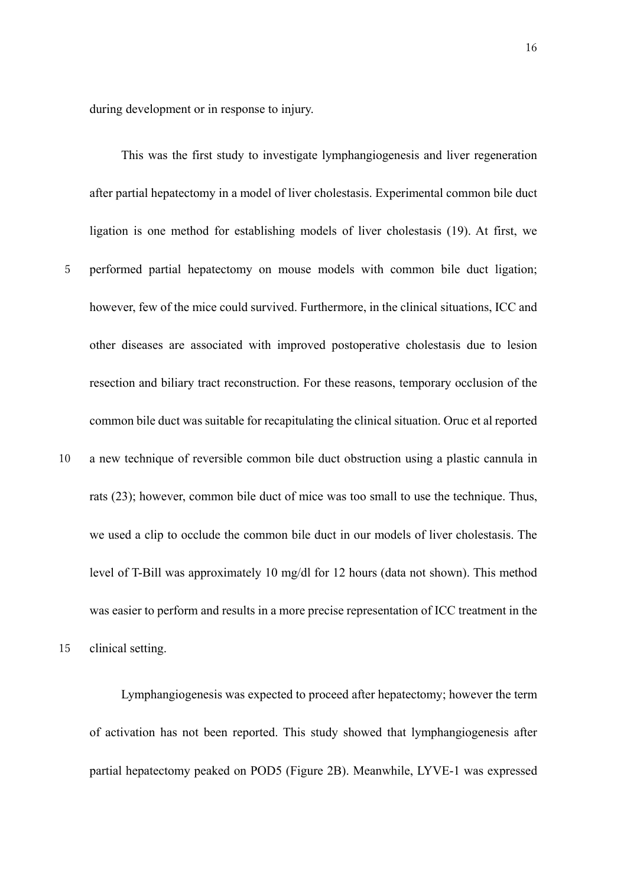during development or in response to injury.

This was the first study to investigate lymphangiogenesis and liver regeneration after partial hepatectomy in a model of liver cholestasis. Experimental common bile duct ligation is one method for establishing models of liver cholestasis (19). At first, we 5 performed partial hepatectomy on mouse models with common bile duct ligation; however, few of the mice could survived. Furthermore, in the clinical situations, ICC and other diseases are associated with improved postoperative cholestasis due to lesion resection and biliary tract reconstruction. For these reasons, temporary occlusion of the common bile duct was suitable for recapitulating the clinical situation. Oruc et al reported 10 a new technique of reversible common bile duct obstruction using a plastic cannula in rats (23); however, common bile duct of mice was too small to use the technique. Thus, we used a clip to occlude the common bile duct in our models of liver cholestasis. The level of T-Bill was approximately 10 mg/dl for 12 hours (data not shown). This method was easier to perform and results in a more precise representation of ICC treatment in the

15 clinical setting.

Lymphangiogenesis was expected to proceed after hepatectomy; however the term of activation has not been reported. This study showed that lymphangiogenesis after partial hepatectomy peaked on POD5 (Figure 2B). Meanwhile, LYVE-1 was expressed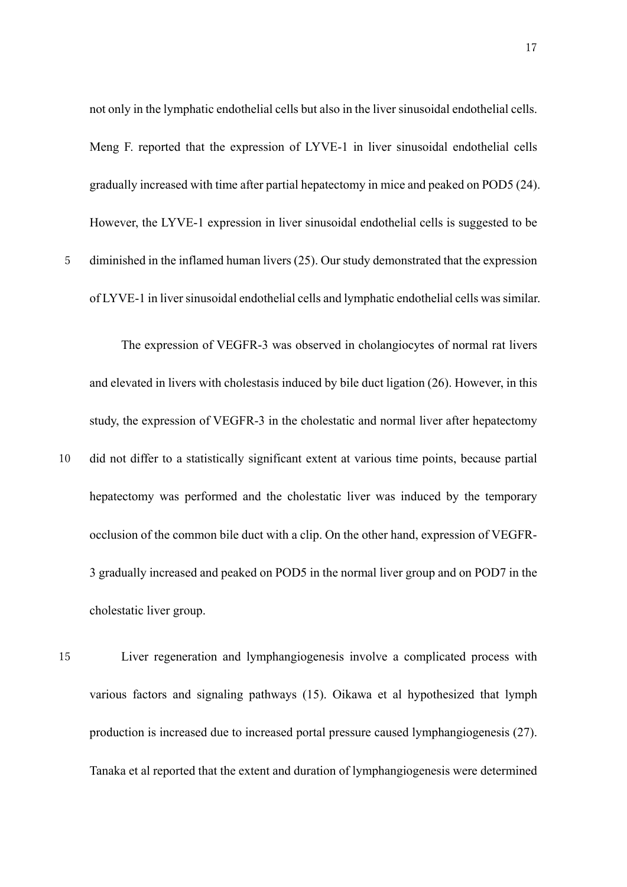not only in the lymphatic endothelial cells but also in the liver sinusoidal endothelial cells. Meng F. reported that the expression of LYVE-1 in liver sinusoidal endothelial cells gradually increased with time after partial hepatectomy in mice and peaked on POD5 (24). However, the LYVE-1 expression in liver sinusoidal endothelial cells is suggested to be 5 diminished in the inflamed human livers (25). Our study demonstrated that the expression of LYVE-1 in liver sinusoidal endothelial cells and lymphatic endothelial cells was similar.

The expression of VEGFR-3 was observed in cholangiocytes of normal rat livers and elevated in livers with cholestasis induced by bile duct ligation (26). However, in this study, the expression of VEGFR-3 in the cholestatic and normal liver after hepatectomy 10 did not differ to a statistically significant extent at various time points, because partial hepatectomy was performed and the cholestatic liver was induced by the temporary occlusion of the common bile duct with a clip. On the other hand, expression of VEGFR-3 gradually increased and peaked on POD5 in the normal liver group and on POD7 in the cholestatic liver group.

15 Liver regeneration and lymphangiogenesis involve a complicated process with various factors and signaling pathways (15). Oikawa et al hypothesized that lymph production is increased due to increased portal pressure caused lymphangiogenesis (27). Tanaka et al reported that the extent and duration of lymphangiogenesis were determined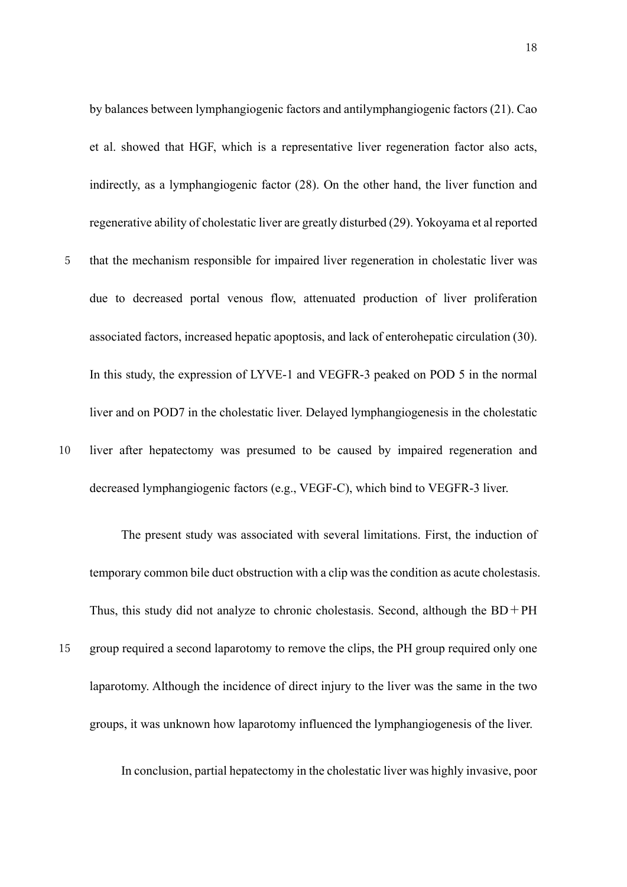by balances between lymphangiogenic factors and antilymphangiogenic factors (21). Cao et al. showed that HGF, which is a representative liver regeneration factor also acts, indirectly, as a lymphangiogenic factor (28). On the other hand, the liver function and regenerative ability of cholestatic liver are greatly disturbed (29). Yokoyama et al reported

5 that the mechanism responsible for impaired liver regeneration in cholestatic liver was due to decreased portal venous flow, attenuated production of liver proliferation associated factors, increased hepatic apoptosis, and lack of enterohepatic circulation (30). In this study, the expression of LYVE-1 and VEGFR-3 peaked on POD 5 in the normal liver and on POD7 in the cholestatic liver. Delayed lymphangiogenesis in the cholestatic 10 liver after hepatectomy was presumed to be caused by impaired regeneration and decreased lymphangiogenic factors (e.g., VEGF-C), which bind to VEGFR-3 liver.

The present study was associated with several limitations. First, the induction of temporary common bile duct obstruction with a clip was the condition as acute cholestasis. Thus, this study did not analyze to chronic cholestasis. Second, although the  $BD+PH$ 

15 group required a second laparotomy to remove the clips, the PH group required only one laparotomy. Although the incidence of direct injury to the liver was the same in the two groups, it was unknown how laparotomy influenced the lymphangiogenesis of the liver.

In conclusion, partial hepatectomy in the cholestatic liver was highly invasive, poor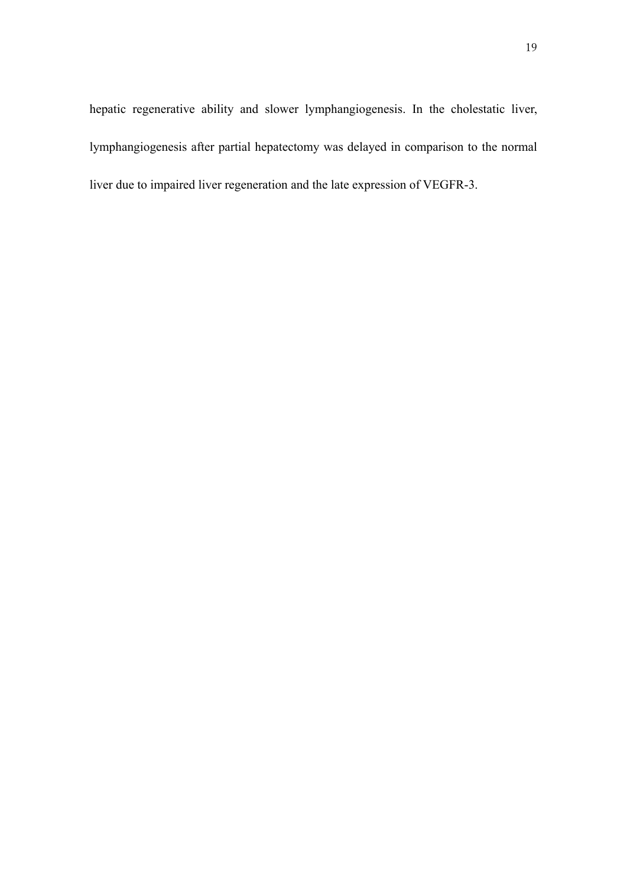hepatic regenerative ability and slower lymphangiogenesis. In the cholestatic liver, lymphangiogenesis after partial hepatectomy was delayed in comparison to the normal liver due to impaired liver regeneration and the late expression of VEGFR-3.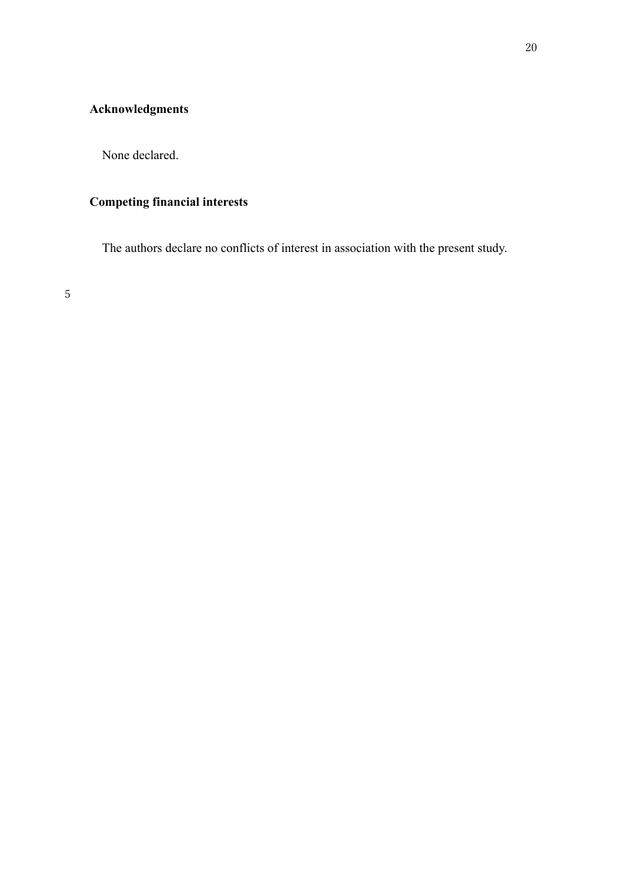# **Acknowledgments**

None declared.

# **Competing financial interests**

The authors declare no conflicts of interest in association with the present study.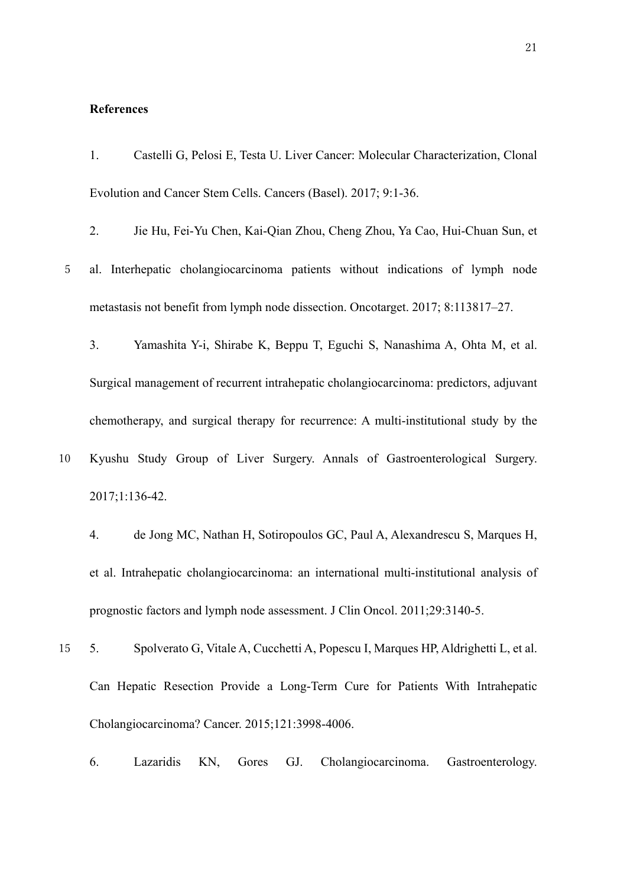#### **References**

- 1. Castelli G, Pelosi E, Testa U. Liver Cancer: Molecular Characterization, Clonal Evolution and Cancer Stem Cells. Cancers (Basel). 2017; 9:1-36.
- 2. Jie Hu, Fei-Yu Chen, Kai-Qian Zhou, Cheng Zhou, Ya Cao, Hui-Chuan Sun, et
- 5 al. Interhepatic cholangiocarcinoma patients without indications of lymph node metastasis not benefit from lymph node dissection. Oncotarget. 2017; 8:113817–27.

3. Yamashita Y-i, Shirabe K, Beppu T, Eguchi S, Nanashima A, Ohta M, et al. Surgical management of recurrent intrahepatic cholangiocarcinoma: predictors, adjuvant chemotherapy, and surgical therapy for recurrence: A multi-institutional study by the

- 10 Kyushu Study Group of Liver Surgery. Annals of Gastroenterological Surgery. 2017;1:136-42.
	- 4. de Jong MC, Nathan H, Sotiropoulos GC, Paul A, Alexandrescu S, Marques H, et al. Intrahepatic cholangiocarcinoma: an international multi-institutional analysis of prognostic factors and lymph node assessment. J Clin Oncol. 2011;29:3140-5.
- 15 5. Spolverato G, Vitale A, Cucchetti A, Popescu I, Marques HP, Aldrighetti L, et al. Can Hepatic Resection Provide a Long-Term Cure for Patients With Intrahepatic Cholangiocarcinoma? Cancer. 2015;121:3998-4006.
	- 6. Lazaridis KN, Gores GJ. Cholangiocarcinoma. Gastroenterology.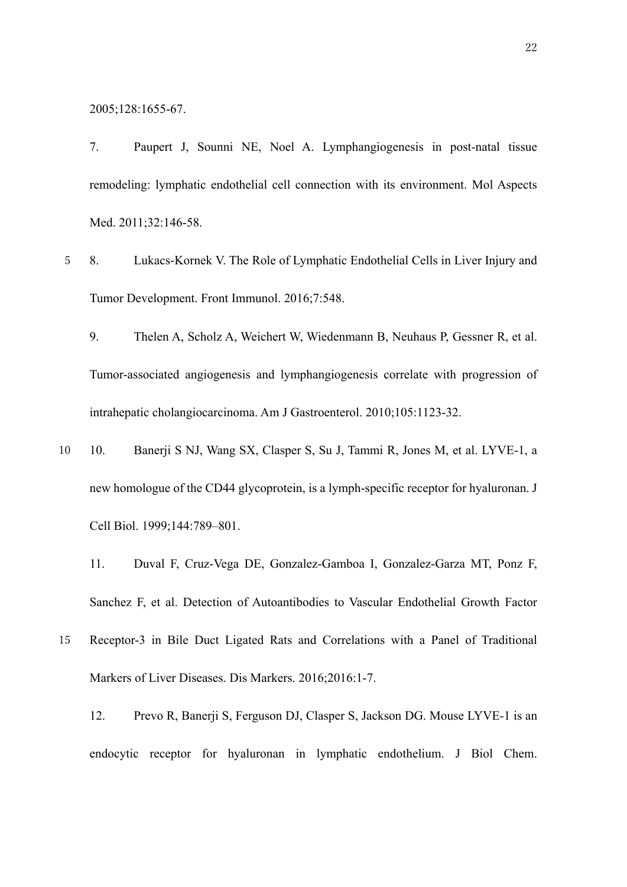2005;128:1655-67.

7. Paupert J, Sounni NE, Noel A. Lymphangiogenesis in post-natal tissue remodeling: lymphatic endothelial cell connection with its environment. Mol Aspects Med. 2011;32:146-58.

- 5 8. Lukacs-Kornek V. The Role of Lymphatic Endothelial Cells in Liver Injury and Tumor Development. Front Immunol. 2016;7:548.
	- 9. Thelen A, Scholz A, Weichert W, Wiedenmann B, Neuhaus P, Gessner R, et al. Tumor-associated angiogenesis and lymphangiogenesis correlate with progression of intrahepatic cholangiocarcinoma. Am J Gastroenterol. 2010;105:1123-32.
- 10 10. Banerji S NJ, Wang SX, Clasper S, Su J, Tammi R, Jones M, et al. LYVE-1, a new homologue of the CD44 glycoprotein, is a lymph-specific receptor for hyaluronan. J Cell Biol. 1999;144:789–801.
	- 11. Duval F, Cruz-Vega DE, Gonzalez-Gamboa I, Gonzalez-Garza MT, Ponz F, Sanchez F, et al. Detection of Autoantibodies to Vascular Endothelial Growth Factor
- 15 Receptor-3 in Bile Duct Ligated Rats and Correlations with a Panel of Traditional Markers of Liver Diseases. Dis Markers. 2016;2016:1-7.
	- 12. Prevo R, Banerji S, Ferguson DJ, Clasper S, Jackson DG. Mouse LYVE-1 is an endocytic receptor for hyaluronan in lymphatic endothelium. J Biol Chem.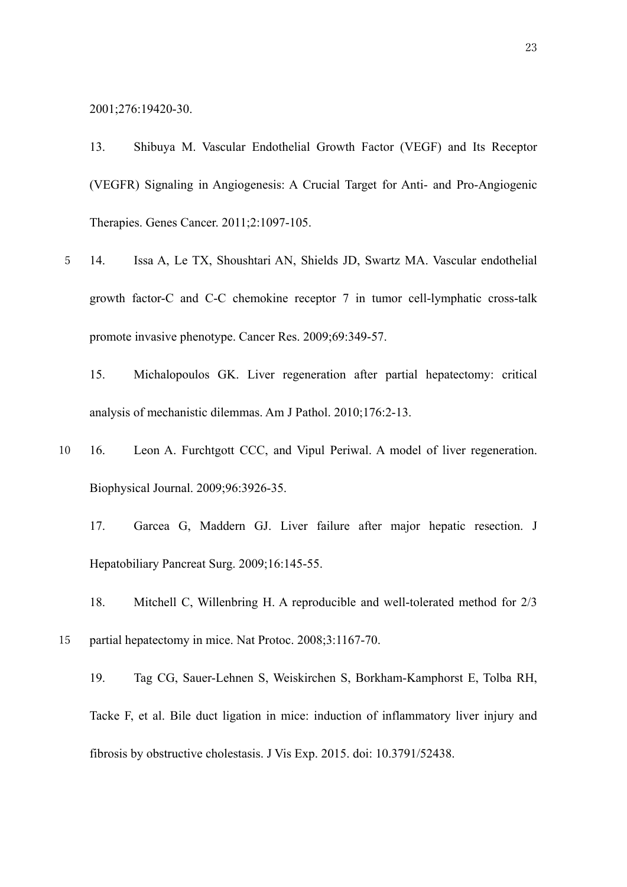2001;276:19420-30.

13. Shibuya M. Vascular Endothelial Growth Factor (VEGF) and Its Receptor (VEGFR) Signaling in Angiogenesis: A Crucial Target for Anti- and Pro-Angiogenic Therapies. Genes Cancer. 2011;2:1097-105.

- 5 14. Issa A, Le TX, Shoushtari AN, Shields JD, Swartz MA. Vascular endothelial growth factor-C and C-C chemokine receptor 7 in tumor cell-lymphatic cross-talk promote invasive phenotype. Cancer Res. 2009;69:349-57.
	- 15. Michalopoulos GK. Liver regeneration after partial hepatectomy: critical analysis of mechanistic dilemmas. Am J Pathol. 2010;176:2-13.
- 10 16. Leon A. Furchtgott CCC, and Vipul Periwal. A model of liver regeneration. Biophysical Journal. 2009;96:3926-35.
	- 17. Garcea G, Maddern GJ. Liver failure after major hepatic resection. J Hepatobiliary Pancreat Surg. 2009;16:145-55.
	- 18. Mitchell C, Willenbring H. A reproducible and well-tolerated method for 2/3
- 15 partial hepatectomy in mice. Nat Protoc. 2008;3:1167-70.
	- 19. Tag CG, Sauer-Lehnen S, Weiskirchen S, Borkham-Kamphorst E, Tolba RH, Tacke F, et al. Bile duct ligation in mice: induction of inflammatory liver injury and fibrosis by obstructive cholestasis. J Vis Exp. 2015. doi: 10.3791/52438.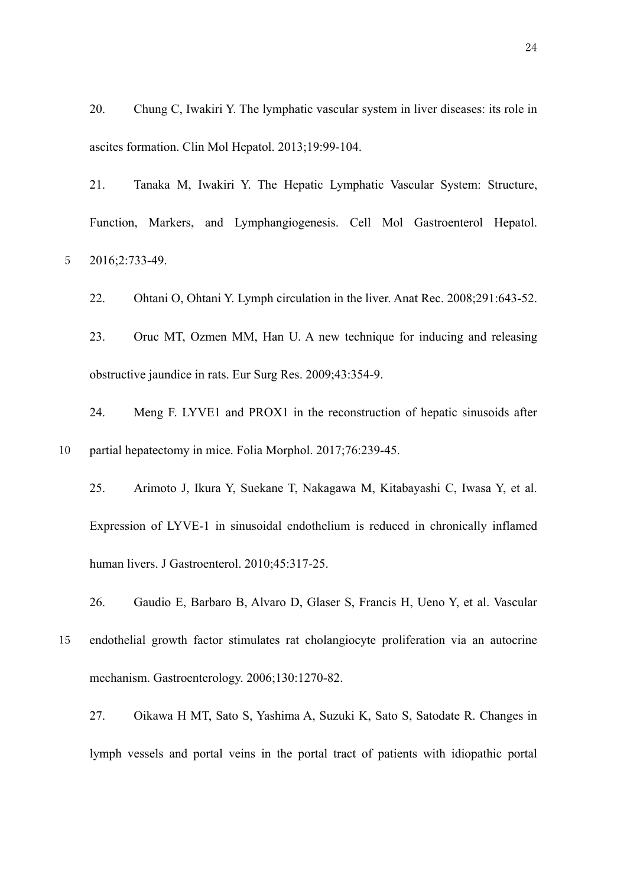20. Chung C, Iwakiri Y. The lymphatic vascular system in liver diseases: its role in ascites formation. Clin Mol Hepatol. 2013;19:99-104.

21. Tanaka M, Iwakiri Y. The Hepatic Lymphatic Vascular System: Structure, Function, Markers, and Lymphangiogenesis. Cell Mol Gastroenterol Hepatol. 5 2016;2:733-49.

22. Ohtani O, Ohtani Y. Lymph circulation in the liver. Anat Rec. 2008;291:643-52.

23. Oruc MT, Ozmen MM, Han U. A new technique for inducing and releasing obstructive jaundice in rats. Eur Surg Res. 2009;43:354-9.

24. Meng F. LYVE1 and PROX1 in the reconstruction of hepatic sinusoids after 10 partial hepatectomy in mice. Folia Morphol. 2017;76:239-45.

25. Arimoto J, Ikura Y, Suekane T, Nakagawa M, Kitabayashi C, Iwasa Y, et al. Expression of LYVE-1 in sinusoidal endothelium is reduced in chronically inflamed human livers. J Gastroenterol. 2010;45:317-25.

26. Gaudio E, Barbaro B, Alvaro D, Glaser S, Francis H, Ueno Y, et al. Vascular

- 15 endothelial growth factor stimulates rat cholangiocyte proliferation via an autocrine mechanism. Gastroenterology. 2006;130:1270-82.
	- 27. Oikawa H MT, Sato S, Yashima A, Suzuki K, Sato S, Satodate R. Changes in lymph vessels and portal veins in the portal tract of patients with idiopathic portal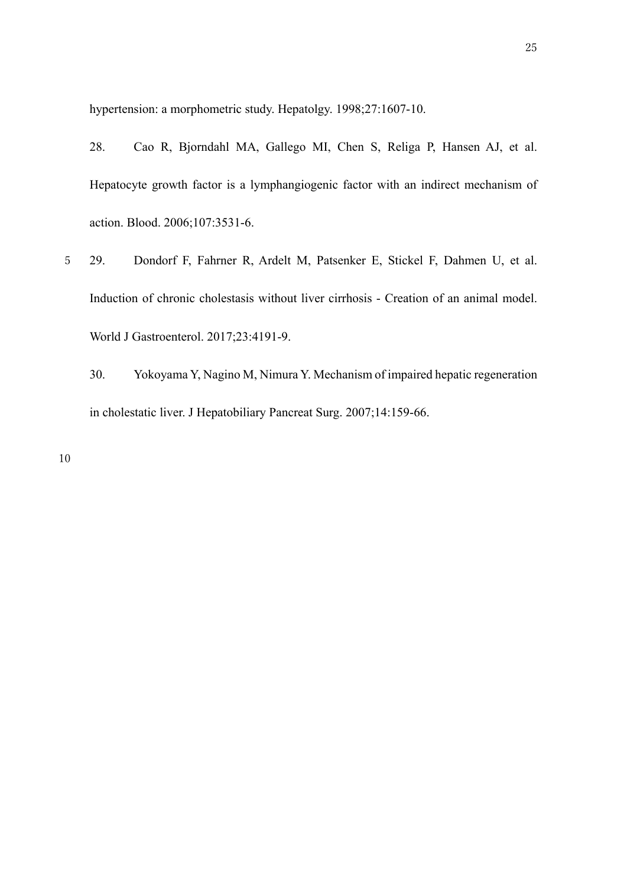hypertension: a morphometric study. Hepatolgy. 1998;27:1607-10.

28. Cao R, Bjorndahl MA, Gallego MI, Chen S, Religa P, Hansen AJ, et al. Hepatocyte growth factor is a lymphangiogenic factor with an indirect mechanism of action. Blood. 2006;107:3531-6.

- 5 29. Dondorf F, Fahrner R, Ardelt M, Patsenker E, Stickel F, Dahmen U, et al. Induction of chronic cholestasis without liver cirrhosis - Creation of an animal model. World J Gastroenterol. 2017;23:4191-9.
	- 30. Yokoyama Y, Nagino M, Nimura Y. Mechanism of impaired hepatic regeneration in cholestatic liver. J Hepatobiliary Pancreat Surg. 2007;14:159-66.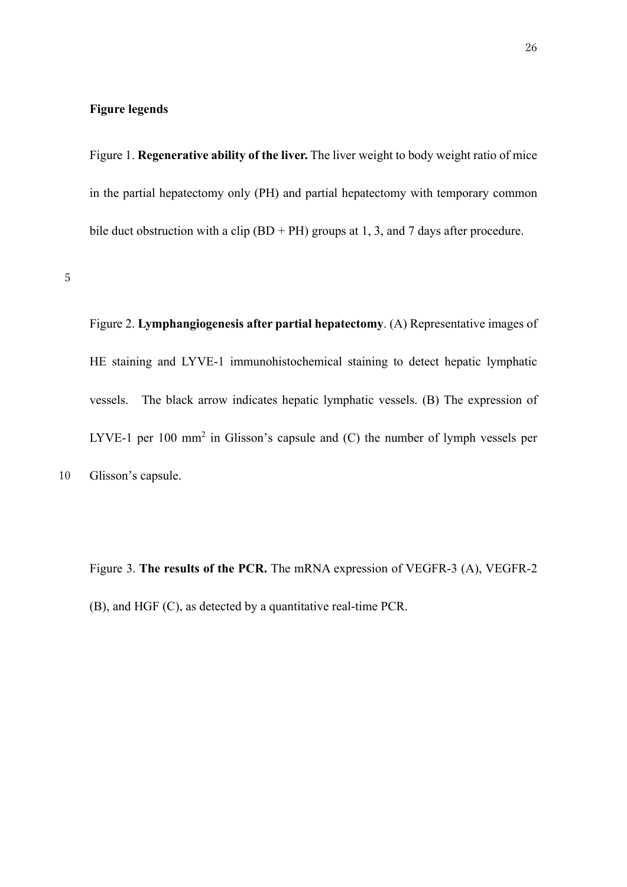# **Figure legends**

Figure 1. **Regenerative ability of the liver.** The liver weight to body weight ratio of mice in the partial hepatectomy only (PH) and partial hepatectomy with temporary common bile duct obstruction with a clip  $(BD + PH)$  groups at 1, 3, and 7 days after procedure.

5

Figure 2. **Lymphangiogenesis after partial hepatectomy**. (A) Representative images of HE staining and LYVE-1 immunohistochemical staining to detect hepatic lymphatic vessels. The black arrow indicates hepatic lymphatic vessels. (B) The expression of LYVE-1 per 100 mm<sup>2</sup> in Glisson's capsule and  $(C)$  the number of lymph vessels per 10 Glisson's capsule.

Figure 3. **The results of the PCR.** The mRNA expression of VEGFR-3 (A), VEGFR-2 (B), and HGF (C), as detected by a quantitative real-time PCR.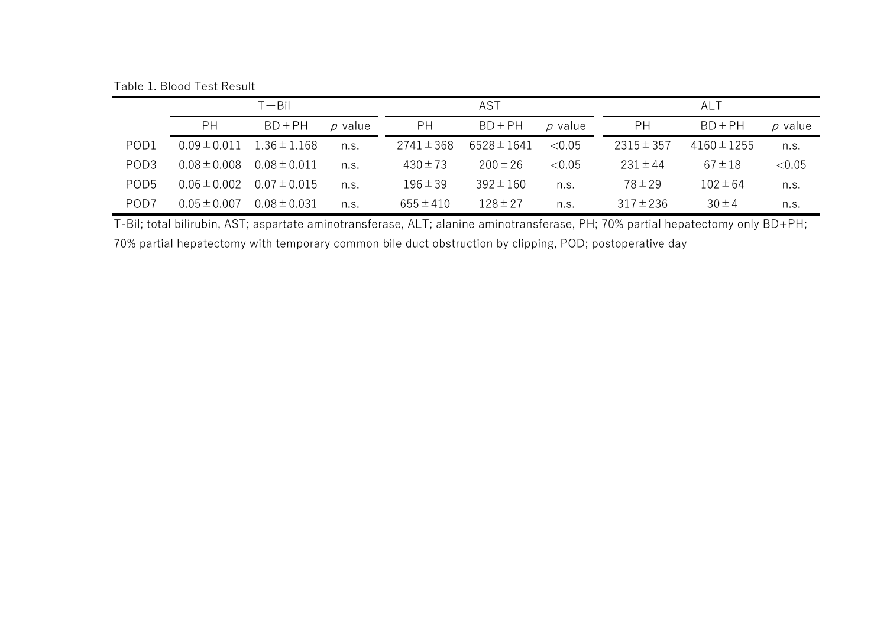Table 1. Blood Test Result

|                  | ⊺— Ril           |                  |         | AST            |                 |              | ALT            |                 |              |
|------------------|------------------|------------------|---------|----------------|-----------------|--------------|----------------|-----------------|--------------|
|                  | PH               | $BD + PH$        | p value | <b>PH</b>      | $BD + PH$       | $\rho$ value | PH             | $BD + PH$       | $\rho$ value |
| POD <sub>1</sub> | $0.09 \pm 0.011$ | $1.36 \pm 1.168$ | n.S.    | $2741 \pm 368$ | $6528 \pm 1641$ | < 0.05       | $2315 \pm 357$ | $4160 \pm 1255$ | n.s.         |
| POD <sub>3</sub> | $0.08 \pm 0.008$ | $0.08 \pm 0.011$ | n.S.    | $430 \pm 73$   | $200 \pm 26$    | < 0.05       | $231 \pm 44$   | $67 \pm 18$     | < 0.05       |
| POD <sub>5</sub> | $0.06 \pm 0.002$ | $0.07 \pm 0.015$ | n.s.    | $196 \pm 39$   | $392 \pm 160$   | n.s.         | $78 \pm 29$    | $102 \pm 64$    | n.s.         |
| POD <sub>7</sub> | $0.05 \pm 0.007$ | $0.08 \pm 0.031$ | n.S.    | $655 \pm 410$  | $128 \pm 27$    | n.s.         | $317 \pm 236$  | $30 \pm 4$      | n.s.         |

T-Bil; total bilirubin, AST; aspartate aminotransferase, ALT; alanine aminotransferase, PH; 70% partial hepatectomy only BD+PH; 70% partial hepatectomy with temporary common bile duct obstruction by clipping, POD; postoperative day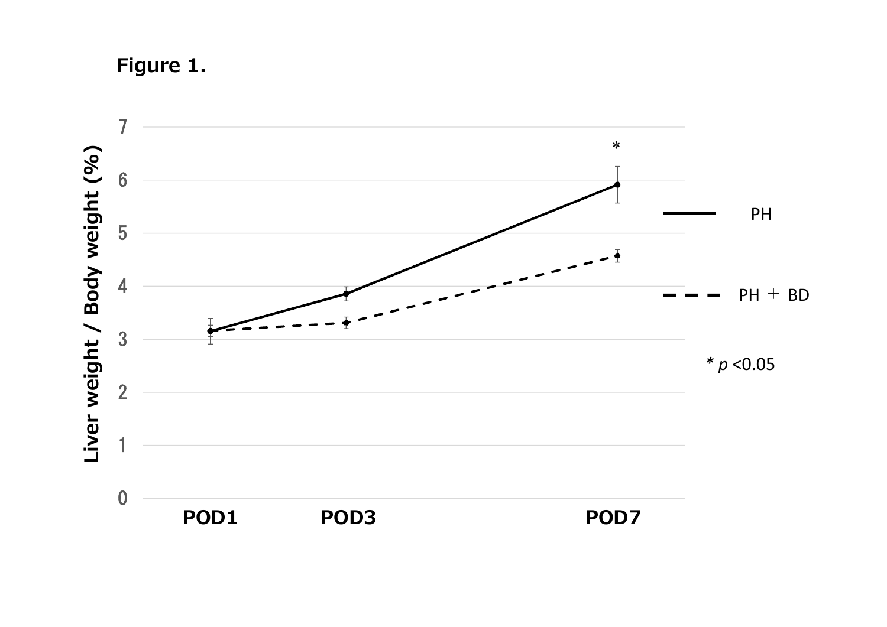**Figure 1.**

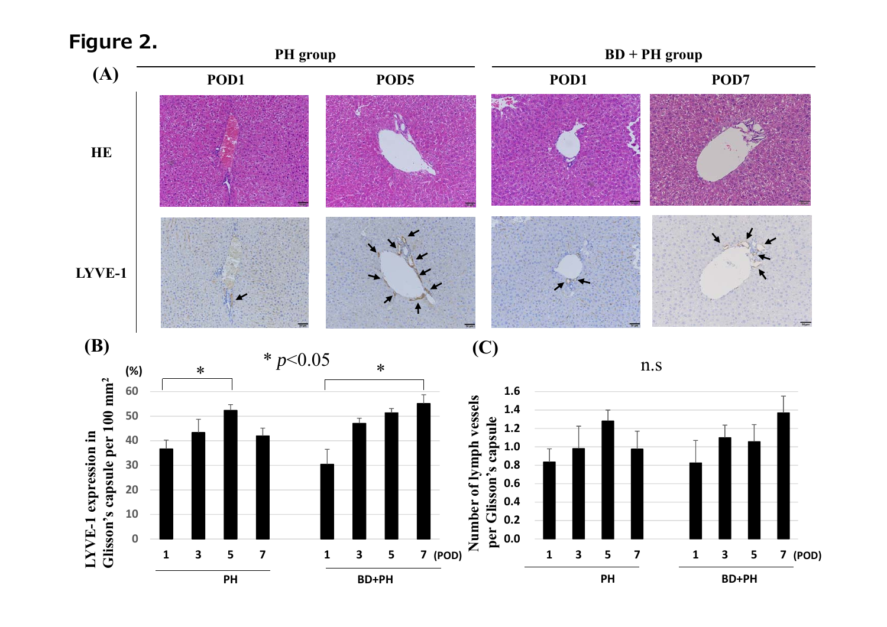